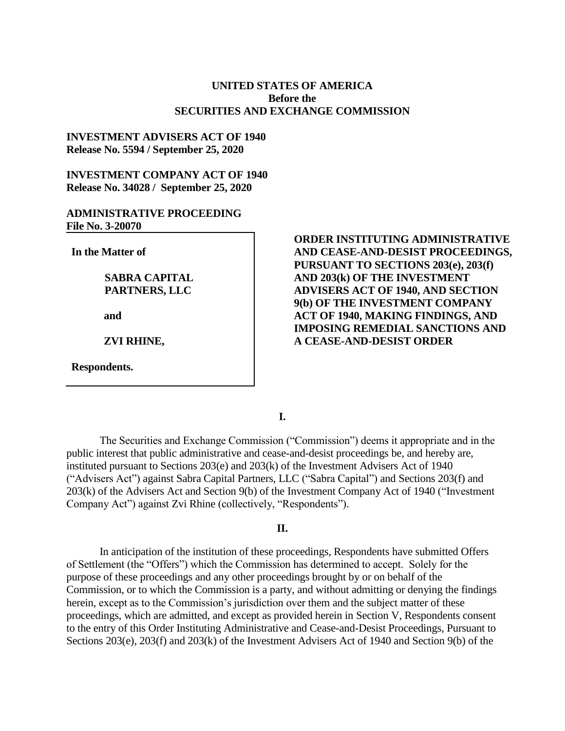## **UNITED STATES OF AMERICA Before the SECURITIES AND EXCHANGE COMMISSION**

## **INVESTMENT ADVISERS ACT OF 1940 Release No. 5594 / September 25, 2020**

# **INVESTMENT COMPANY ACT OF 1940 Release No. 34028 / September 25, 2020**

# **ADMINISTRATIVE PROCEEDING File No. 3-20070**

**In the Matter of**

# **SABRA CAPITAL PARTNERS, LLC**

**and**

**ZVI RHINE,** 

**Respondents.**

**ORDER INSTITUTING ADMINISTRATIVE AND CEASE-AND-DESIST PROCEEDINGS, PURSUANT TO SECTIONS 203(e), 203(f) AND 203(k) OF THE INVESTMENT ADVISERS ACT OF 1940, AND SECTION 9(b) OF THE INVESTMENT COMPANY ACT OF 1940, MAKING FINDINGS, AND IMPOSING REMEDIAL SANCTIONS AND A CEASE-AND-DESIST ORDER** 

**I.**

The Securities and Exchange Commission ("Commission") deems it appropriate and in the public interest that public administrative and cease-and-desist proceedings be, and hereby are, instituted pursuant to Sections 203(e) and 203(k) of the Investment Advisers Act of 1940 ("Advisers Act") against Sabra Capital Partners, LLC ("Sabra Capital") and Sections 203(f) and 203(k) of the Advisers Act and Section 9(b) of the Investment Company Act of 1940 ("Investment Company Act") against Zvi Rhine (collectively, "Respondents").

## **II.**

In anticipation of the institution of these proceedings, Respondents have submitted Offers of Settlement (the "Offers") which the Commission has determined to accept. Solely for the purpose of these proceedings and any other proceedings brought by or on behalf of the Commission, or to which the Commission is a party, and without admitting or denying the findings herein, except as to the Commission's jurisdiction over them and the subject matter of these proceedings, which are admitted, and except as provided herein in Section V, Respondents consent to the entry of this Order Instituting Administrative and Cease-and-Desist Proceedings, Pursuant to Sections 203(e), 203(f) and 203(k) of the Investment Advisers Act of 1940 and Section 9(b) of the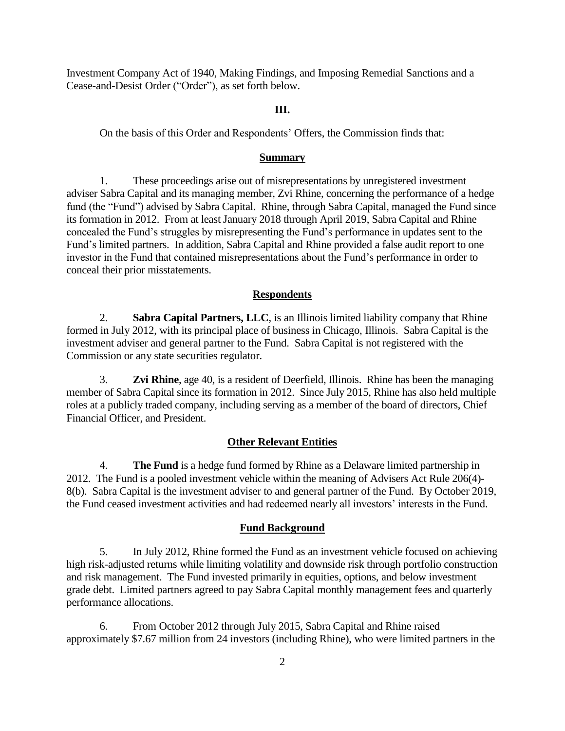Investment Company Act of 1940, Making Findings, and Imposing Remedial Sanctions and a Cease-and-Desist Order ("Order"), as set forth below.

### **III.**

On the basis of this Order and Respondents' Offers, the Commission finds that:

#### **Summary**

1. These proceedings arise out of misrepresentations by unregistered investment adviser Sabra Capital and its managing member, Zvi Rhine, concerning the performance of a hedge fund (the "Fund") advised by Sabra Capital. Rhine, through Sabra Capital, managed the Fund since its formation in 2012. From at least January 2018 through April 2019, Sabra Capital and Rhine concealed the Fund's struggles by misrepresenting the Fund's performance in updates sent to the Fund's limited partners. In addition, Sabra Capital and Rhine provided a false audit report to one investor in the Fund that contained misrepresentations about the Fund's performance in order to conceal their prior misstatements.

### **Respondents**

2. **Sabra Capital Partners, LLC**, is an Illinois limited liability company that Rhine formed in July 2012, with its principal place of business in Chicago, Illinois. Sabra Capital is the investment adviser and general partner to the Fund. Sabra Capital is not registered with the Commission or any state securities regulator.

3. **Zvi Rhine**, age 40, is a resident of Deerfield, Illinois. Rhine has been the managing member of Sabra Capital since its formation in 2012. Since July 2015, Rhine has also held multiple roles at a publicly traded company, including serving as a member of the board of directors, Chief Financial Officer, and President.

### **Other Relevant Entities**

4. **The Fund** is a hedge fund formed by Rhine as a Delaware limited partnership in 2012. The Fund is a pooled investment vehicle within the meaning of Advisers Act Rule 206(4)- 8(b). Sabra Capital is the investment adviser to and general partner of the Fund. By October 2019, the Fund ceased investment activities and had redeemed nearly all investors' interests in the Fund.

### **Fund Background**

5. In July 2012, Rhine formed the Fund as an investment vehicle focused on achieving high risk-adjusted returns while limiting volatility and downside risk through portfolio construction and risk management. The Fund invested primarily in equities, options, and below investment grade debt. Limited partners agreed to pay Sabra Capital monthly management fees and quarterly performance allocations.

6. From October 2012 through July 2015, Sabra Capital and Rhine raised approximately \$7.67 million from 24 investors (including Rhine), who were limited partners in the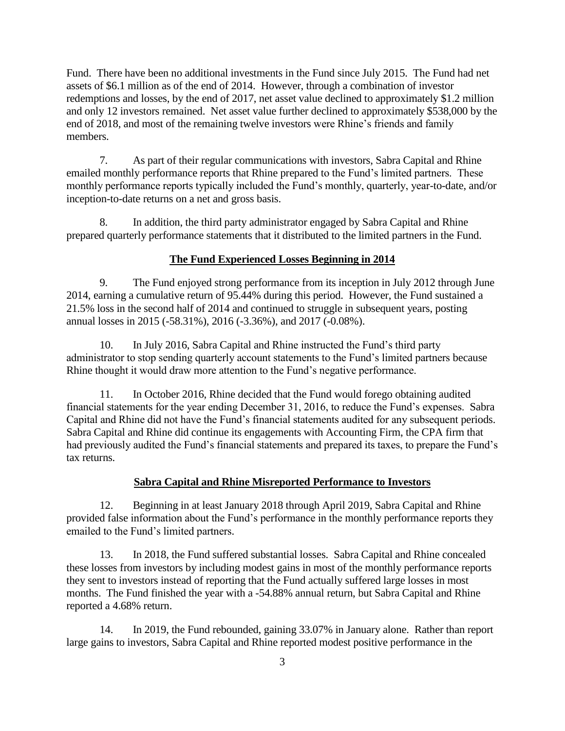Fund. There have been no additional investments in the Fund since July 2015. The Fund had net assets of \$6.1 million as of the end of 2014. However, through a combination of investor redemptions and losses, by the end of 2017, net asset value declined to approximately \$1.2 million and only 12 investors remained. Net asset value further declined to approximately \$538,000 by the end of 2018, and most of the remaining twelve investors were Rhine's friends and family members.

7. As part of their regular communications with investors, Sabra Capital and Rhine emailed monthly performance reports that Rhine prepared to the Fund's limited partners. These monthly performance reports typically included the Fund's monthly, quarterly, year-to-date, and/or inception-to-date returns on a net and gross basis.

8. In addition, the third party administrator engaged by Sabra Capital and Rhine prepared quarterly performance statements that it distributed to the limited partners in the Fund.

### **The Fund Experienced Losses Beginning in 2014**

9. The Fund enjoyed strong performance from its inception in July 2012 through June 2014, earning a cumulative return of 95.44% during this period. However, the Fund sustained a 21.5% loss in the second half of 2014 and continued to struggle in subsequent years, posting annual losses in 2015 (-58.31%), 2016 (-3.36%), and 2017 (-0.08%).

10. In July 2016, Sabra Capital and Rhine instructed the Fund's third party administrator to stop sending quarterly account statements to the Fund's limited partners because Rhine thought it would draw more attention to the Fund's negative performance.

11. In October 2016, Rhine decided that the Fund would forego obtaining audited financial statements for the year ending December 31, 2016, to reduce the Fund's expenses. Sabra Capital and Rhine did not have the Fund's financial statements audited for any subsequent periods. Sabra Capital and Rhine did continue its engagements with Accounting Firm, the CPA firm that had previously audited the Fund's financial statements and prepared its taxes, to prepare the Fund's tax returns.

## **Sabra Capital and Rhine Misreported Performance to Investors**

12. Beginning in at least January 2018 through April 2019, Sabra Capital and Rhine provided false information about the Fund's performance in the monthly performance reports they emailed to the Fund's limited partners.

13. In 2018, the Fund suffered substantial losses. Sabra Capital and Rhine concealed these losses from investors by including modest gains in most of the monthly performance reports they sent to investors instead of reporting that the Fund actually suffered large losses in most months. The Fund finished the year with a -54.88% annual return, but Sabra Capital and Rhine reported a 4.68% return.

14. In 2019, the Fund rebounded, gaining 33.07% in January alone. Rather than report large gains to investors, Sabra Capital and Rhine reported modest positive performance in the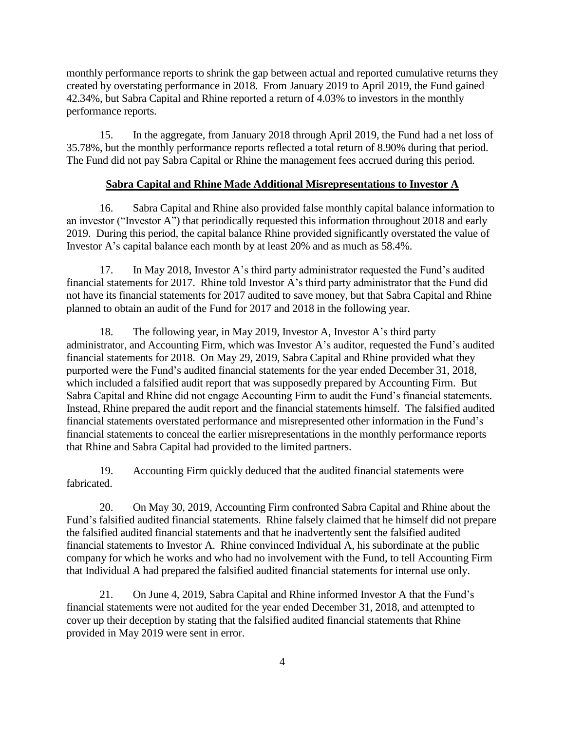monthly performance reports to shrink the gap between actual and reported cumulative returns they created by overstating performance in 2018. From January 2019 to April 2019, the Fund gained 42.34%, but Sabra Capital and Rhine reported a return of 4.03% to investors in the monthly performance reports.

15. In the aggregate, from January 2018 through April 2019, the Fund had a net loss of 35.78%, but the monthly performance reports reflected a total return of 8.90% during that period. The Fund did not pay Sabra Capital or Rhine the management fees accrued during this period.

## **Sabra Capital and Rhine Made Additional Misrepresentations to Investor A**

16. Sabra Capital and Rhine also provided false monthly capital balance information to an investor ("Investor A") that periodically requested this information throughout 2018 and early 2019. During this period, the capital balance Rhine provided significantly overstated the value of Investor A's capital balance each month by at least 20% and as much as 58.4%.

17. In May 2018, Investor A's third party administrator requested the Fund's audited financial statements for 2017. Rhine told Investor A's third party administrator that the Fund did not have its financial statements for 2017 audited to save money, but that Sabra Capital and Rhine planned to obtain an audit of the Fund for 2017 and 2018 in the following year.

18. The following year, in May 2019, Investor A, Investor A's third party administrator, and Accounting Firm, which was Investor A's auditor, requested the Fund's audited financial statements for 2018. On May 29, 2019, Sabra Capital and Rhine provided what they purported were the Fund's audited financial statements for the year ended December 31, 2018, which included a falsified audit report that was supposedly prepared by Accounting Firm. But Sabra Capital and Rhine did not engage Accounting Firm to audit the Fund's financial statements. Instead, Rhine prepared the audit report and the financial statements himself. The falsified audited financial statements overstated performance and misrepresented other information in the Fund's financial statements to conceal the earlier misrepresentations in the monthly performance reports that Rhine and Sabra Capital had provided to the limited partners.

19. Accounting Firm quickly deduced that the audited financial statements were fabricated.

20. On May 30, 2019, Accounting Firm confronted Sabra Capital and Rhine about the Fund's falsified audited financial statements. Rhine falsely claimed that he himself did not prepare the falsified audited financial statements and that he inadvertently sent the falsified audited financial statements to Investor A. Rhine convinced Individual A, his subordinate at the public company for which he works and who had no involvement with the Fund, to tell Accounting Firm that Individual A had prepared the falsified audited financial statements for internal use only.

21. On June 4, 2019, Sabra Capital and Rhine informed Investor A that the Fund's financial statements were not audited for the year ended December 31, 2018, and attempted to cover up their deception by stating that the falsified audited financial statements that Rhine provided in May 2019 were sent in error.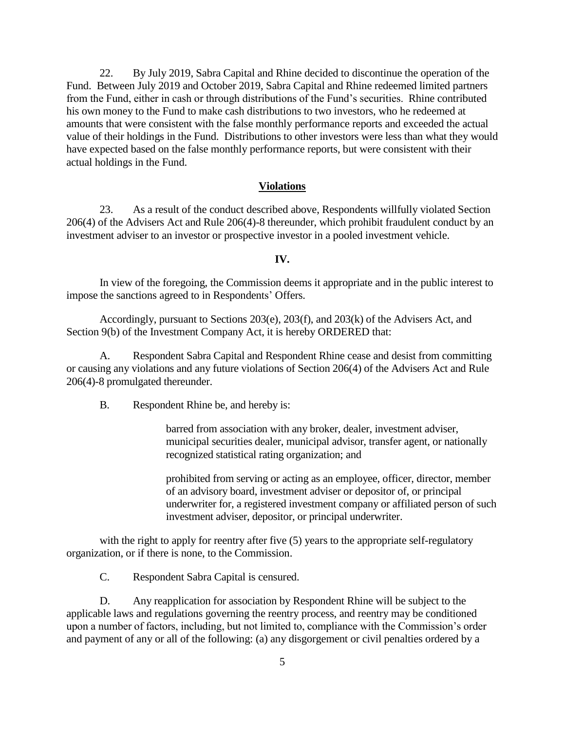22. By July 2019, Sabra Capital and Rhine decided to discontinue the operation of the Fund. Between July 2019 and October 2019, Sabra Capital and Rhine redeemed limited partners from the Fund, either in cash or through distributions of the Fund's securities. Rhine contributed his own money to the Fund to make cash distributions to two investors, who he redeemed at amounts that were consistent with the false monthly performance reports and exceeded the actual value of their holdings in the Fund. Distributions to other investors were less than what they would have expected based on the false monthly performance reports, but were consistent with their actual holdings in the Fund.

#### **Violations**

23. As a result of the conduct described above, Respondents willfully violated Section 206(4) of the Advisers Act and Rule 206(4)-8 thereunder, which prohibit fraudulent conduct by an investment adviser to an investor or prospective investor in a pooled investment vehicle.

### **IV.**

In view of the foregoing, the Commission deems it appropriate and in the public interest to impose the sanctions agreed to in Respondents' Offers.

Accordingly, pursuant to Sections 203(e), 203(f), and 203(k) of the Advisers Act, and Section 9(b) of the Investment Company Act, it is hereby ORDERED that:

A. Respondent Sabra Capital and Respondent Rhine cease and desist from committing or causing any violations and any future violations of Section 206(4) of the Advisers Act and Rule 206(4)-8 promulgated thereunder.

B. Respondent Rhine be, and hereby is:

barred from association with any broker, dealer, investment adviser, municipal securities dealer, municipal advisor, transfer agent, or nationally recognized statistical rating organization; and

prohibited from serving or acting as an employee, officer, director, member of an advisory board, investment adviser or depositor of, or principal underwriter for, a registered investment company or affiliated person of such investment adviser, depositor, or principal underwriter.

with the right to apply for reentry after five (5) years to the appropriate self-regulatory organization, or if there is none, to the Commission.

C. Respondent Sabra Capital is censured.

D. Any reapplication for association by Respondent Rhine will be subject to the applicable laws and regulations governing the reentry process, and reentry may be conditioned upon a number of factors, including, but not limited to, compliance with the Commission's order and payment of any or all of the following: (a) any disgorgement or civil penalties ordered by a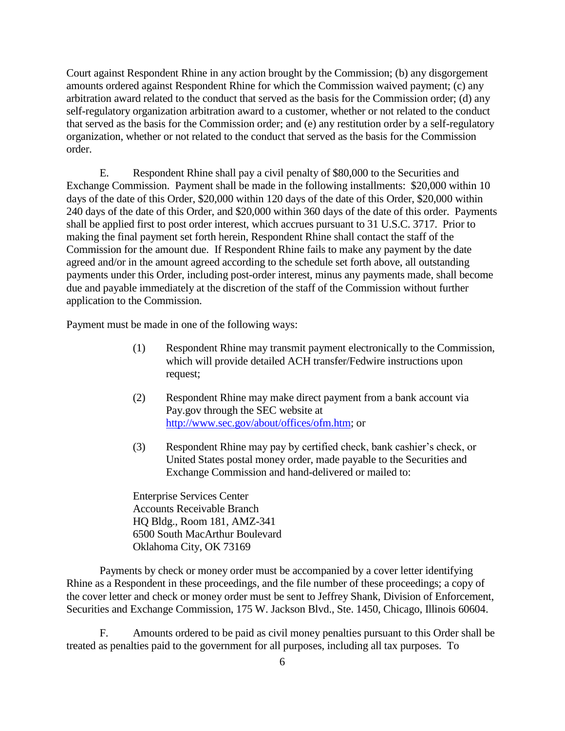Court against Respondent Rhine in any action brought by the Commission; (b) any disgorgement amounts ordered against Respondent Rhine for which the Commission waived payment; (c) any arbitration award related to the conduct that served as the basis for the Commission order; (d) any self-regulatory organization arbitration award to a customer, whether or not related to the conduct that served as the basis for the Commission order; and (e) any restitution order by a self-regulatory organization, whether or not related to the conduct that served as the basis for the Commission order.

E. Respondent Rhine shall pay a civil penalty of \$80,000 to the Securities and Exchange Commission. Payment shall be made in the following installments: \$20,000 within 10 days of the date of this Order, \$20,000 within 120 days of the date of this Order, \$20,000 within 240 days of the date of this Order, and \$20,000 within 360 days of the date of this order. Payments shall be applied first to post order interest, which accrues pursuant to 31 U.S.C. 3717. Prior to making the final payment set forth herein, Respondent Rhine shall contact the staff of the Commission for the amount due. If Respondent Rhine fails to make any payment by the date agreed and/or in the amount agreed according to the schedule set forth above, all outstanding payments under this Order, including post-order interest, minus any payments made, shall become due and payable immediately at the discretion of the staff of the Commission without further application to the Commission.

Payment must be made in one of the following ways:

- (1) Respondent Rhine may transmit payment electronically to the Commission, which will provide detailed ACH transfer/Fedwire instructions upon request;
- (2) Respondent Rhine may make direct payment from a bank account via Pay.gov through the SEC website at [http://www.sec.gov/about/offices/ofm.htm;](http://www.sec.gov/about/offices/ofm.htm) or
- (3) Respondent Rhine may pay by certified check, bank cashier's check, or United States postal money order, made payable to the Securities and Exchange Commission and hand-delivered or mailed to:

Enterprise Services Center Accounts Receivable Branch HQ Bldg., Room 181, AMZ-341 6500 South MacArthur Boulevard Oklahoma City, OK 73169

Payments by check or money order must be accompanied by a cover letter identifying Rhine as a Respondent in these proceedings, and the file number of these proceedings; a copy of the cover letter and check or money order must be sent to Jeffrey Shank, Division of Enforcement, Securities and Exchange Commission, 175 W. Jackson Blvd., Ste. 1450, Chicago, Illinois 60604.

F. Amounts ordered to be paid as civil money penalties pursuant to this Order shall be treated as penalties paid to the government for all purposes, including all tax purposes. To